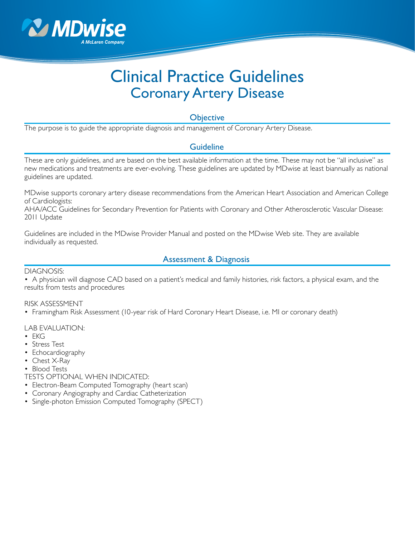

# Clinical Practice Guidelines Coronary Artery Disease

**Objective** 

The purpose is to guide the appropriate diagnosis and management of Coronary Artery Disease.

### Guideline

These are only guidelines, and are based on the best available information at the time. These may not be "all inclusive" as new medications and treatments are ever-evolving. These guidelines are updated by MDwise at least biannually as national guidelines are updated.

MDwise supports coronary artery disease recommendations from the American Heart Association and American College of Cardiologists:

AHA/ACC Guidelines for Secondary Prevention for Patients with Coronary and Other Atherosclerotic Vascular Disease: 2011 Update

Guidelines are included in the MDwise Provider Manual and posted on the MDwise Web site. They are available individually as requested.

### Assessment & Diagnosis

DIAGNOSIS:

• A physician will diagnose CAD based on a patient's medical and family histories, risk factors, a physical exam, and the results from tests and procedures

RISK ASSESSMENT

• Framingham Risk Assessment (10-year risk of Hard Coronary Heart Disease, i.e. MI or coronary death)

LAB EVALUATION:

- EKG
- Stress Test
- Echocardiography
- Chest X-Ray
- Blood Tests
- TESTS OPTIONAL WHEN INDICATED:
- Electron-Beam Computed Tomography (heart scan)
- Coronary Angiography and Cardiac Catheterization
- Single-photon Emission Computed Tomography (SPECT)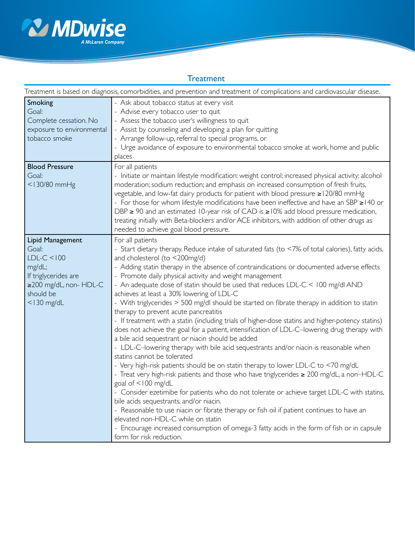

## **Treatment**

| Treatment is based on diagnosis, comorbidities, and prevention and treatment of complications and cardiovascular disease.             |                                                                                                                                                                                                                                                                                                                                                                                                                                                                                                                                                                                                                                                                                                                                                                                                                                                                                                                                                                                                                                                                                                                                                                                                                                                                                                                                                                                                                                                                                                                                                                                             |  |
|---------------------------------------------------------------------------------------------------------------------------------------|---------------------------------------------------------------------------------------------------------------------------------------------------------------------------------------------------------------------------------------------------------------------------------------------------------------------------------------------------------------------------------------------------------------------------------------------------------------------------------------------------------------------------------------------------------------------------------------------------------------------------------------------------------------------------------------------------------------------------------------------------------------------------------------------------------------------------------------------------------------------------------------------------------------------------------------------------------------------------------------------------------------------------------------------------------------------------------------------------------------------------------------------------------------------------------------------------------------------------------------------------------------------------------------------------------------------------------------------------------------------------------------------------------------------------------------------------------------------------------------------------------------------------------------------------------------------------------------------|--|
| Smoking<br>Goal:<br>Complete cessation. No<br>exposure to environmental<br>tobacco smoke                                              | - Ask about tobacco status at every visit<br>- Advise every tobacco user to quit<br>- Assess the tobacco user's willingness to quit<br>- Assist by counseling and developing a plan for quitting<br>- Arrange follow-up, referral to special programs, or<br>- Urge avoidance of exposure to environmental tobacco smoke at work, home and public<br>places                                                                                                                                                                                                                                                                                                                                                                                                                                                                                                                                                                                                                                                                                                                                                                                                                                                                                                                                                                                                                                                                                                                                                                                                                                 |  |
| <b>Blood Pressure</b><br>Goal:<br><130/80 mmHg                                                                                        | For all patients<br>- Initiate or maintain lifestyle modification: weight control; increased physical activity; alcohol<br>moderation; sodium reduction; and emphasis on increased consumption of fresh fruits,<br>vegetable, and low-fat dairy products for patient with blood pressure ≥120/80 mmHg<br>- For those for whom lifestyle modifications have been ineffective and have an SBP $\geq$ 140 or<br>DBP $\geq$ 90 and an estimated 10-year risk of CAD is $\geq$ 10% add blood pressure medication,<br>treating initially with Beta-blockers and/or ACE inhibitors, with addition of other drugs as<br>needed to achieve goal blood pressure.                                                                                                                                                                                                                                                                                                                                                                                                                                                                                                                                                                                                                                                                                                                                                                                                                                                                                                                                      |  |
| Lipid Management<br>Goal:<br>$LDL-C < 100$<br>mg/dL;<br>If triglycerides are<br>≥200 mg/dL, non- HDL-C<br>should be<br>$<$   30 mg/dL | For all patients<br>- Start dietary therapy. Reduce intake of saturated fats (to <7% of total calories), fatty acids,<br>and cholesterol (to <200mg/d)<br>- Adding statin therapy in the absence of contraindications or documented adverse effects<br>- Promote daily physical activity and weight management<br>- An adequate dose of statin should be used that reduces LDL-C < 100 mg/dl AND<br>achieves at least a 30% lowering of LDL-C<br>- With triglycerides > 500 mg/dl should be started on fibrate therapy in addition to statin<br>therapy to prevent acute pancreatitis<br>- If treatment with a statin (including trials of higher-dose statins and higher-potency statins)<br>does not achieve the goal for a patient, intensification of LDL-C-lowering drug therapy with<br>a bile acid sequestrant or niacin should be added<br>- LDL-C-lowering therapy with bile acid sequestrants and/or niacin is reasonable when<br>statins cannot be tolerated<br>- Very high-risk patients should be on statin therapy to lower LDL-C to <70 mg/dL<br>- Treat very high-risk patients and those who have triglycerides $\geq 200$ mg/dL, a non-HDL-C<br>goal of <100 mg/dL<br>- Consider ezetimibe for patients who do not tolerate or achieve target LDL-C with statins,<br>bile acids sequestrants, and/or niacin.<br>- Reasonable to use niacin or fibrate therapy or fish oil if patient continues to have an<br>elevated non-HDL-C while on statin<br>- Encourage increased consumption of omega-3 fatty acids in the form of fish or in capsule<br>form for risk reduction. |  |